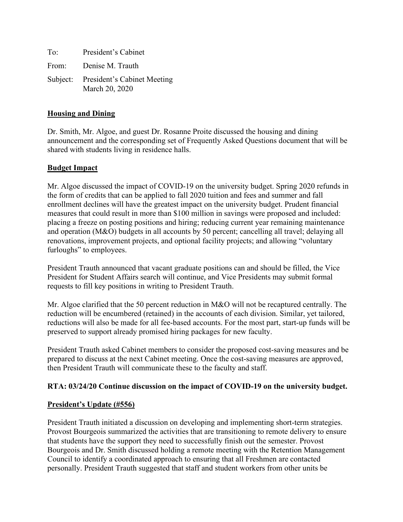To: President's Cabinet From: Denise M. Trauth Subject: President's Cabinet Meeting March 20, 2020

## **Housing and Dining**

Dr. Smith, Mr. Algoe, and guest Dr. Rosanne Proite discussed the housing and dining announcement and the corresponding set of Frequently Asked Questions document that will be shared with students living in residence halls.

## **Budget Impact**

Mr. Algoe discussed the impact of COVID-19 on the university budget. Spring 2020 refunds in the form of credits that can be applied to fall 2020 tuition and fees and summer and fall enrollment declines will have the greatest impact on the university budget. Prudent financial measures that could result in more than \$100 million in savings were proposed and included: placing a freeze on posting positions and hiring; reducing current year remaining maintenance and operation (M&O) budgets in all accounts by 50 percent; cancelling all travel; delaying all renovations, improvement projects, and optional facility projects; and allowing "voluntary furloughs" to employees.

President Trauth announced that vacant graduate positions can and should be filled, the Vice President for Student Affairs search will continue, and Vice Presidents may submit formal requests to fill key positions in writing to President Trauth.

Mr. Algoe clarified that the 50 percent reduction in M&O will not be recaptured centrally. The reduction will be encumbered (retained) in the accounts of each division. Similar, yet tailored, reductions will also be made for all fee-based accounts. For the most part, start-up funds will be preserved to support already promised hiring packages for new faculty.

President Trauth asked Cabinet members to consider the proposed cost-saving measures and be prepared to discuss at the next Cabinet meeting. Once the cost-saving measures are approved, then President Trauth will communicate these to the faculty and staff.

# **RTA: 03/24/20 Continue discussion on the impact of COVID-19 on the university budget.**

#### **President's Update (#556)**

President Trauth initiated a discussion on developing and implementing short-term strategies. Provost Bourgeois summarized the activities that are transitioning to remote delivery to ensure that students have the support they need to successfully finish out the semester. Provost Bourgeois and Dr. Smith discussed holding a remote meeting with the Retention Management Council to identify a coordinated approach to ensuring that all Freshmen are contacted personally. President Trauth suggested that staff and student workers from other units be